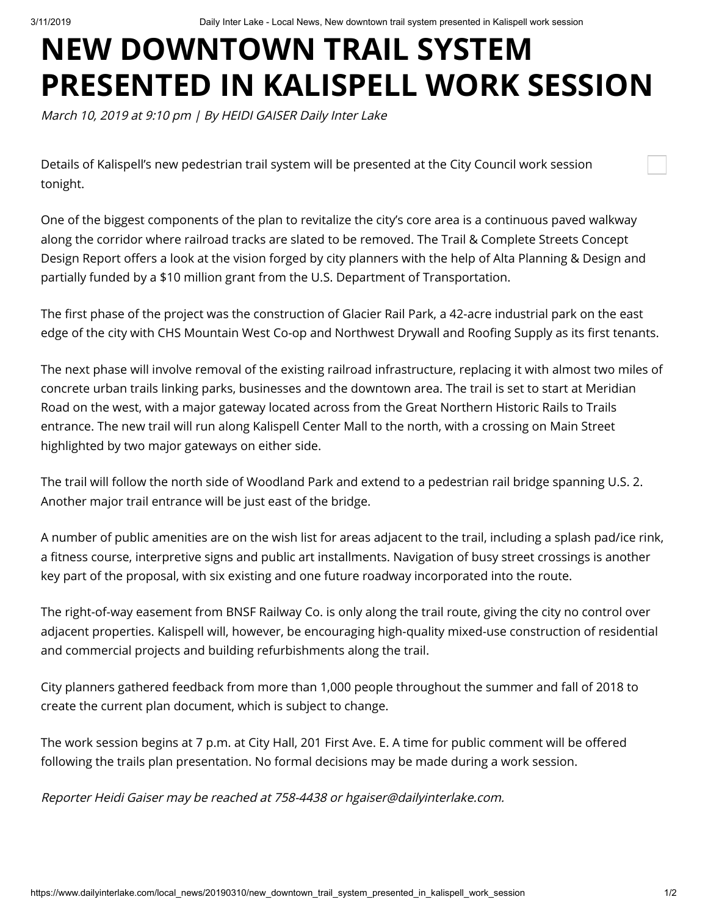## **NEW DOWNTOWN TRAIL SYSTEM PRESENTED IN KALISPELL WORK SESSION**

March 10, 2019 at 9:10 pm | By HEIDI GAISER Daily Inter Lake

Details of Kalispell's new pedestrian trail system will be presented at the City Council work session tonight.

One of the biggest components of the plan to revitalize the city's core area is a continuous paved walkway along the corridor where railroad tracks are slated to be removed. The Trail & Complete Streets Concept Design Report offers a look at the vision forged by city planners with the help of Alta Planning & Design and partially funded by a \$10 million grant from the U.S. Department of Transportation.

The first phase of the project was the construction of Glacier Rail Park, a 42-acre industrial park on the east edge of the city with CHS Mountain West Co-op and Northwest Drywall and Roofing Supply as its first tenants.

The next phase will involve removal of the existing railroad infrastructure, replacing it with almost two miles of concrete urban trails linking parks, businesses and the downtown area. The trail is set to start at Meridian Road on the west, with a major gateway located across from the Great Northern Historic Rails to Trails entrance. The new trail will run along Kalispell Center Mall to the north, with a crossing on Main Street highlighted by two major gateways on either side.

The trail will follow the north side of Woodland Park and extend to a pedestrian rail bridge spanning U.S. 2. Another major trail entrance will be just east of the bridge.

A number of public amenities are on the wish list for areas adjacent to the trail, including a splash pad/ice rink, a fitness course, interpretive signs and public art installments. Navigation of busy street crossings is another key part of the proposal, with six existing and one future roadway incorporated into the route.

The right-of-way easement from BNSF Railway Co. is only along the trail route, giving the city no control over adjacent properties. Kalispell will, however, be encouraging high-quality mixed-use construction of residential and commercial projects and building refurbishments along the trail.

City planners gathered feedback from more than 1,000 people throughout the summer and fall of 2018 to create the current plan document, which is subject to change.

The work session begins at 7 p.m. at City Hall, 201 First Ave. E. A time for public comment will be offered following the trails plan presentation. No formal decisions may be made during a work session.

Reporter Heidi Gaiser may be reached at 758-4438 or hgaiser@dailyinterlake.com.